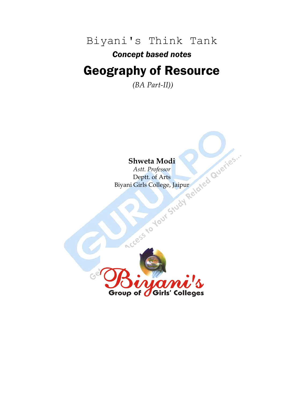Biyani's Think Tank

*Concept based notes*

### Geography of Resource

*(BA Part-II))*

### **Shweta Modi**

*Astt. Professor* Deptt. of Arts Biyani Girls College, Jaipur

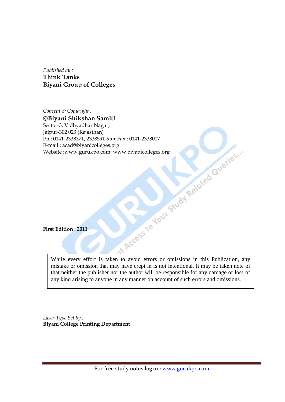*Published by :* **Think Tanks Biyani Group of Colleges**

*Concept & Copyright :* **Biyani Shikshan Samiti** Sector-3, Vidhyadhar Nagar, Jaipur-302 023 (Rajasthan) Ph : 0141-2338371, 2338591-95 • Fax : 0141-2338007<br>
E-mail : acad@biyanicolleges.org<br>
Website :www.gurukpo.com; www.biyanicolleges.org<br>
Website :www.gurukpo.com; www.biyanicolleges.org<br>
First Edition : 2011 E-mail : acad@biyanicolleges.org Website :www.gurukpo.com; www.biyanicolleges.org

**First Edition : 2011**

While every effort is taken to avoid errors or omissions in this Publication, any mistake or omission that may have crept in is not intentional. It may be taken note of that neither the publisher nor the author will be responsible for any damage or loss of any kind arising to anyone in any manner on account of such errors and omissions.

*Laser Type Set by :* **Biyani College Printing Department**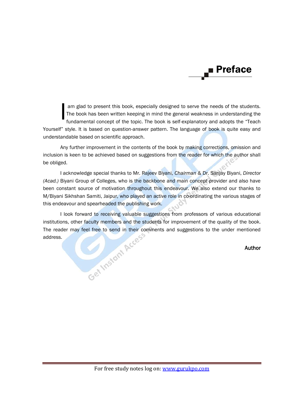### Preface

am glad to present this book, especially designed to serve the needs of the students. The book has been written keeping in mind the general weakness in understanding the fundamental concept of the topic. The book is self-explanatory and adopts the "Teach Yourself" style. It is based on question-answer pattern. The language of book is quite easy and understandable based on scientific approach. I

Any further improvement in the contents of the book by making corrections, omission and inclusion is keen to be achieved based on suggestions from the reader for which the author shall be obliged.

I acknowledge special thanks to Mr. Rajeev Biyani, *Chairman* & Dr. Sanjay Biyani, *Director (Acad.)* Biyani Group of Colleges, who is the backbone and main concept provider and also have been constant source of motivation throughout this endeavour. We also extend our thanks to M/Biyani Sikhshan Samiti, Jaipur, who played an active role in co-ordinating the various stages of this endeavour and spearheaded the publishing work.

I look forward to receiving valuable suggestions from professors of various educational<br>ons, other faculty members and the students for improvement of the quality of the book.<br>der may feel free to send in their comments a institutions, other faculty members and the students for improvement of the quality of the book. The reader may feel free to send in their comments and suggestions to the under mentioned address.

### Author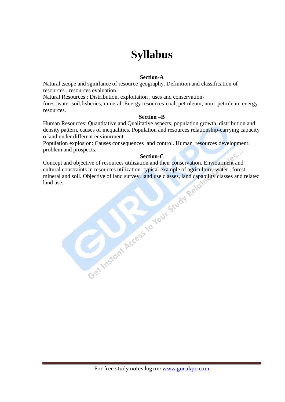### **Syllabus**

### **Section-A**

Natural ,scope and sginifance of resource geography. Definition and classification of resources , resources evaluation.

Natural Resources : Distribution, exploitation , uses and conservation-

forest,water,soil,fisheries, mineral: Energy resources-coal, petroleum, non –petroleum energy resources.

### **Section –B**

Human Resources: Quantitative and Qualitative aspects, population growth, distribution and density pattern, causes of inequalities. Population and resources relationship-carrying capacity o land under different enviourment.

Population explosion: Causes consequences and control. Human resources development: problem and prospects.

### **Section-C**

Concept and objective of resources utilization and their conservation. Enviourment and cultural constraints in resources utilization typical example of agriculture, water , forest, nimeral and soil. Objective of land survey, land use classes, land capability classes and re land use.<br>
land use.<br>
and use of th mineral and soil. Objective of land survey, land use classes, land capability classes and related land use.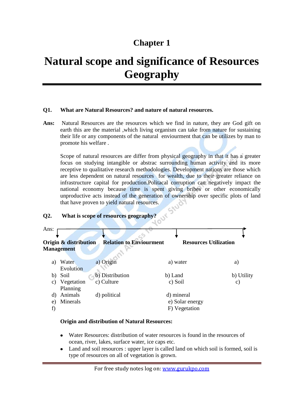### **Chapter 1**

### **Natural scope and significance of Resources Geography**

### **Q1. What are Natural Resources? and nature of natural resources.**

**Ans:** Natural Resources are the resources which we find in nature, they are God gift on earth this are the material ,which living organism can take from nature for sustaining their life or any components of the natural enviourment that can be utilizes by man to promote his welfare .

Scope of natural resources are differ from physical geography in that it has a greater focus on studying intangible or abstrac surrounding human activity and its more receptive to qualitative research methodologies. Development nations are those which are less dependent on natural resources for wealth, due to their greater reliance on infrastructure capital for production.Politacal corruption can negatively impact the national economy because time is spent giving bribes or other economically unproductive acts instead of the generation of ownership over specific plots of land that have proven to yield natural resources.

### **Q2. What is scope of resources geography?**



### **Origin and distribution of Natural Resources:**

- Water Resources: distribution of water resources is found in the resources of ocean, river, lakes, surface water, ice caps etc.
- Land and soil resources : upper layer is called land on which soil is formed, soil is type of resources on all of vegetation is grown.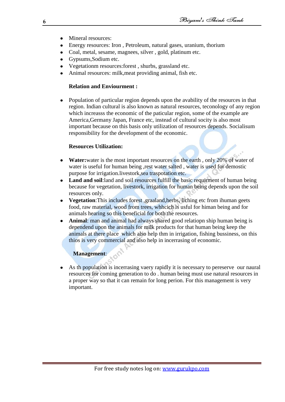- Mineral resources:
- Energy resources: Iron , Petroleum, natural gases, uranium, thorium
- Coal, metal, sesame, magnees, silver , gold, platinum etc.
- Gypsums,Sodium etc.
- Vegetationm resources:forest , shurbs, grassland etc.
- Animal resources: milk,meat providing animal, fish etc.

### **Relation and Enviourment :**

Population of particular region depends upon the avability of the resources in that region. Indian cultural is also known as natural resources, teconology of any region which increasss the economic of the paticular region, some of the example are America,Germany Japan, France etc, instead of cultural socity is also most important because on this basis only utilization of resources depends. Socialisum responsibility for the development of the economic.

### **Resources Utilization:**

- **Water:**water is the most important resources on the earth , only 20% of water of water is useful for human being , rest water salted , water is used for demostic purpose for irrigation.livestork,sea traspotation etc.
- **Land and soil**:land and soil resources fulfill the basic requirment of human being because for vegetation, livestork, irrigation for human being depends upon the soil resources only.
- **Vegetation**:This includes forest ,graaland,herbs, liching etc from ihuman geets  $\bullet$ food, raw material, wood from trees, whhcich is usful for himan being and for animals hearing so this beneficial for both the resources.
- **Animal**: man and animal had always shared good relatiopn ship human being is dependend upon the animals for milk products for that human being keep the animals at there place which also help thm in irrigation, fishing bussiness, on this thios is very commercial and also help in incerrasing of economic.

### **Management**:

As th population is incerrasing vaery rapidly it is necessary to pereserve our naural resources for coming generation to do . human being must use natural resources in a proper way so that it can remain for long perion. For this management is very important.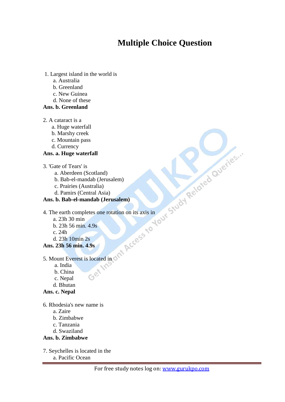### **Multiple Choice Question**

- 1. Largest island in the world is
	- a. Australia
	- b. Greenland
	- c. New Guinea
	- d. None of these
- **Ans. b. Greenland**
- 2. A cataract is a
- a. Huge waterfall
- b. Marshy creek
- c. Mountain pass
- d. Currency

### **Ans. a. Huge waterfall**

- 3. 'Gate of Tears' is
- a. Aberdeen (Scotland)
- b. Bab-el-mandab (Jerusalem)
- c. Prairies (Australia)
- d. Pamirs (Central Asia)
- **Ans. b. Bab-el-mandab (Jerusalem)**
- 4. The earth completes one rotation on its axis in
- a. 23h 30 min
- b. 23h 56 min. 4.9s
- c. 24h
- d. 23h 10min 2s
- **Ans. 23h 56 min. 4.9s**
- 5. Mount Everest is located in
- a. India
- b. China
- c. Nepal
- d. Bhutan
- **Ans. c. Nepal**

6. Rhodesia's new name is

- a. Zaire
- b. Zimbabwe
- c. Tanzania
- d. Swaziland

### **Ans. b. Zimbabwe**

7. Seychelles is located in the a. Pacific Ocean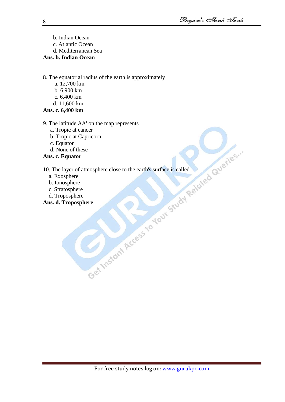- b. Indian Ocean
- c. Atlantic Ocean
- d. Mediterranean Sea

### **Ans. b. Indian Ocean**

8. The equatorial radius of the earth is approximately

- a. 12,700 km
- b. 6,900 km
- c. 6,400 km
- d. 11,600 km

### **Ans. c. 6,400 km**

- 9. The latitude AA' on the map represents
	-
	- b. Tropic at Capricorn
	- c. Equator
	- d. None of these

### **Ans. c. Equator**

a. Tropic at cancer<br>
b. Tropic at Capricorn<br>
c. Equator<br>
d. None of these<br>
s. c. Equator<br>
The layer of atmosphere close to the earth's surface is called<br>
b. Ionosphere<br>
c. Stratosphere<br>
a. d. Troposphere<br>
a. d. Troposphere 10. The layer of atmosphere close to the earth's surface is called

- a. Exosphere
- b. Ionosphere
- c. Stratosphere
- d. Troposphere

### **Ans. d. Troposphere**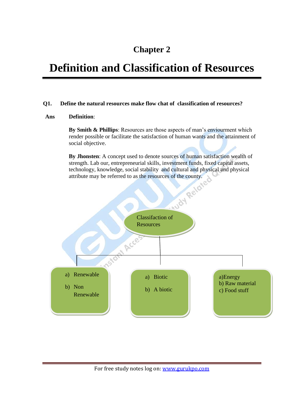### **Chapter 2**

### **Definition and Classification of Resources**

### **Q1. Define the natural resources make flow chat of classification of resources?**

### **Ans Definition**:

**By Smith & Phillips**: Resources are those aspects of man's enviourment which render possible or facilitate the satisfaction of human wants and the attainment of social objective.

**By Jhonsten**: A concept used to denote sources of human satisfaction wealth of strength. Lab our, entrepreneurial skills, investment funds, fixed capital assets, attribute may be referred to as the resources of the county.

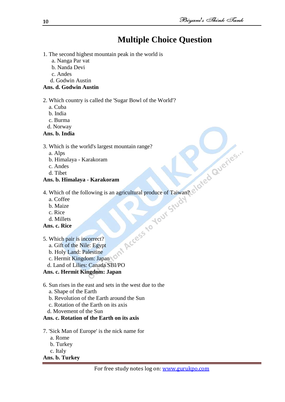### **Multiple Choice Question**

- 1. The second highest mountain peak in the world is
	- a. Nanga Par vat
	- b. Nanda Devi
	- c. Andes
	- d. Godwin Austin

### **Ans. d. Godwin Austin**

### 2. Which country is called the 'Sugar Bowl of the World'?

- a. Cuba
- b. India
- c. Burma
- d. Norway

### **Ans. b. India**

### 3. Which is the world's largest mountain range?

- a. Alps
- b. Himalaya Karakoram
- c. Andes
- d. Tibet

### **Ans. b. Himalaya - Karakoram**

- 4. Which of the following is an agricultural produce of Taiwan?
- a. Coffee
- b. Maize
- c. Rice
- d. Millets
- **Ans. c. Rice**
- 5. Which pair is incorrect?
- a. Gift of the Nile: Egypt
- b. Holy Land: Palestine
- c. Hermit Kingdom: Japan
- d. Land of Lilies: Canada SBI/PO

### **Ans. c. Hermit Kingdom: Japan**

- 6. Sun rises in the east and sets in the west due to the
	- a. Shape of the Earth
	- b. Revolution of the Earth around the Sun
	- c. Rotation of the Earth on its axis
	- d. Movement of the Sun

### **Ans. c. Rotation of the Earth on its axis**

- 7. 'Sick Man of Europe' is the nick name for
	- a. Rome
	- b. Turkey
	- c. Italy

### **Ans. b. Turkey**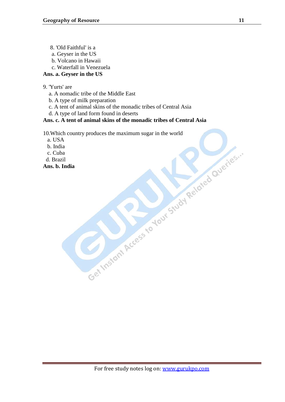- 8. 'Old Faithful' is a
- a. Geyser in the US
- b. Volcano in Hawaii
- c. Waterfall in Venezuela

### **Ans. a. Geyser in the US**

- 9. 'Yurts' are
	- a. A nomadic tribe of the Middle East
	- b. A type of milk preparation
	- c. A tent of animal skins of the monadic tribes of Central Asia
	- d. A type of land form found in deserts

### **Ans. c. A tent of animal skins of the monadic tribes of Central Asia**

- 10.Which country produces the maximum sugar in the world<br>
b. India<br>
c. Cuba<br>
d. S. Ludia<br>
Ans. b. Ludia<br>
Ans. b. Ludia<br>
Ans. b. Ludia<br>
Ans. b. Ludia<br>
Ans. b. Ludia<br>
Ans. b. Ludia<br>
Ans. b. Ludia<br>
Ans. b. Ludia<br>
Ans. b. Ludi
- a. USA
- b. India
- c. Cuba
- d. Brazil

**Ans. b. India**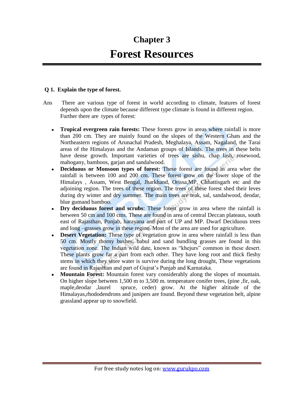### **Chapter 3 Forest Resources**

### **Q 1. Explain the type of forest.**

- Ans There are various type of forest in world according to climate, features of forest depends upon the climate because different type climate is found in different region. Further there are types of forest:
	- **Tropical evergreen rain forests:** These forests grow in areas where rainfall is more than 200 cm. They are mainly found on the slopes of the Western Ghats and the Northeastern regions of Arunachal Pradesh, Meghalaya, Assam, Nagaland, the Tarai areas of the Himalayas and the Andaman groups of Islands. The trees in these belts have dense growth. Important varieties of trees are sishu, chap lash, rosewood, mahogany, bamboos, garjan and sandalwood.
	- **Deciduous or Monsoon types of forest:** These forest are found in area wher the  $\bullet$ rainfall is between 100 and 200 cm. These forest grow on the lower slope of the Himalays , Assam, West Bengal, Jharkhand, Orissa,MP, Chhattisgarh etc and the adjoining region. The trees of these region. The trees of these forest shed their leves during dry winter and dry summer. The main trees are teak, sal, sandalwood, deodar, blue gumand bamboo.
	- **Dry deciduous forest and scrubs**: These forest grow in area where the rainfall is between 50 cm and 100 cms. These are found in area of central Deccan plateaus, south east of Rajasthan, Punjab, harayana and part of UP and MP. Dwarf Deciduous trees and long –grasses grow in these region. Most of the area are used for agriculture.
	- **Desert Vegetation:** These type of vegetation grow in area where rainfall is less than 50 cm. Mostly thorny bushes, babul and sand bundling grasses are found in this vegetation zone. The Indian wild date, known as "khejurs" common in these desert. These plants grow far a part from each other. They have long root and thick fleshy stems in which they store water is survive during the long drought, These vegetations are found in Rajasthan and part of Gujrat"s Punjab and Karnataka.
	- **Mountain Forest:** Mountain forest vary considerably along the slopes of mountain.  $\bullet$ On higher slope between 1,500 m to 3,500 m. temperature conifer trees, (pine ,fir, oak, maple,deodar ,laurel spruce, ceder) grow. At the higher altitude of the Himalayas,rhododendrons and junipers are found. Beyond these vegetation belt, alpine grassland appear up to snowfield.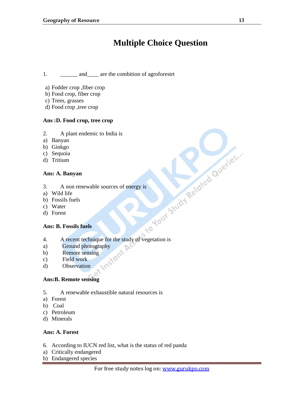### **Multiple Choice Question**

1. \_\_\_\_\_\_\_ and \_\_\_\_ are the combition of agroforestrt

- a) Fodder crop ,fiber crop
- b) Food crop, fiber crop
- c) Trees, grasses
- d) Food crop ,tree crop

### **Ans :D. Food crop, tree crop**

- 2. A plant endemic to India is
- a) Banyan
- b) Ginkgo
- c) Sequoia
- d) Tritium

### **Ans: A. Banyan**

- 3. A non renewable sources of energy is
- a) Wild life
- b) Fossils fuels
- c) Water
- d) Forest

### **Ans: B. Fossils fuels**

- 4. A recent technique for the study of vegetation is
- a) Ground photography<br>b) Remote sensing<br>c) Field work<br>d) Ob
- b) Remote sensing
- c) Field work
- d) Observation

### **Ans:B. Remote sensing**

- 5. A renewable exhaustible natural resources is
- a) Forest
- b) Coal
- c) Petroleum
- d) Minerals

### **Ans: A. Forest**

- 6. According to IUCN red list, what is the status of red panda
- a) Critically endangered
- b) Endangered species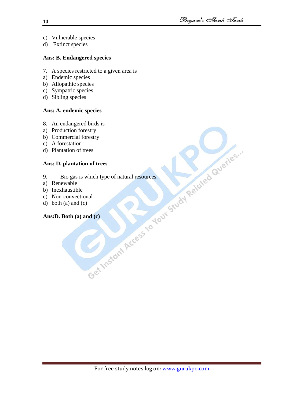- c) Vulnerable species
- d) Extinct species

### **Ans: B. Endangered species**

- 7. A species restricted to a given area is
- a) Endemic species
- b) Allopathic species
- c) Sympatric species
- d) Sibling species

### **Ans: A. endemic species**

- 
- a) Production forestry
- b) Commercial forestry
- c) A forestation
- d) Plantation of trees

### **Ans: D. plantation of trees**

- 8. An endangered birds is<br>
a) Production forestry<br>
b) Commercial forestry<br>
c) A forestation<br>
d) Plantation of trees<br>
Ans: D. plantation of trees<br>
9. Bio gas is which type of natural resources.<br>
a) Renewable<br>
b) Inexhausti 9. Bio gas is which type of natural resources.
- a) Renewable
- b) Inexhaustible
- c) Non-convectional
- d) both (a) and (c)

### **Ans:D. Both (a) and (c)**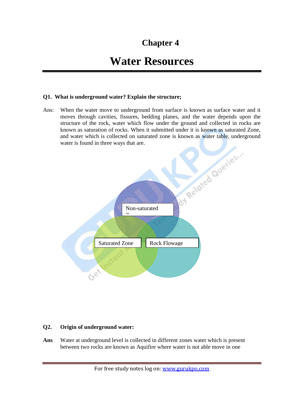### **Chapter 4**

### **Water Resources**

### **Q1. What is underground water? Explain the structure;**

Ans: When the water move to underground from surface is known as surface water and it moves through cavities, fissures, bedding planes, and the water depends upon the structure of the rock, water which flow under the ground and collected in rocks are known as saturation of rocks. When it submitted under it is known as saturated Zone, and water which is collected on saturated zone is known as water table, underground water is found in three ways that are.



### **Q2. Origin of underground water:**

**Ans** Water at underground level is collected in different zones water which is present between two rocks are known as Aquifire where water is not able move in one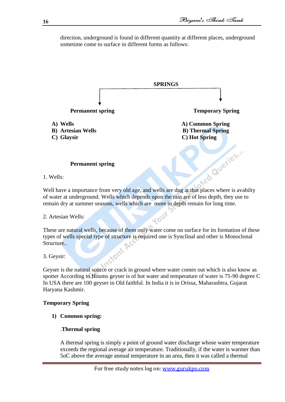direction, underground is found in different quantity at different places, underground sometime come to surface in different forms as follows:



1. Wells:

of water at underground. Wells which depends upon the rain are of less depth, they use to remain dry at summer seasons, wells which are more in depth remain for long time.

### 2. Artesian Wells:

These are natural wells, because of them only water come on surface for its formation of these types of wells special type of structure is required one is Synclinal and other is Monoclonal Structure..

**10UT** 

3. Geysir:

Geyser is the natural source or crack in ground where water comes out which is also know as spotter According to Houms geyser is of hot water and temperature of water is 75-90 degree C In USA there are 100 geyser in Old faithful. In India it is in Orissa, Maharashtra, Gujarat Haryana Kashmir.

### **Temporary Spring**

**1) Common spring:**

### .**Thermal spring**

A thermal spring is simply a point of ground water discharge whose water temperature exceeds the regional average air temperature. Traditionally, if the water is warmer than 5oC above the average annual temperature in an area, then it was called a thermal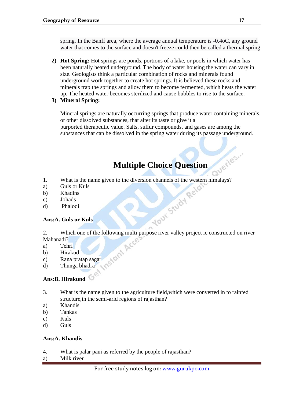spring. In the Banff area, where the average annual temperature is -0.4oC, any ground water that comes to the surface and doesn't freeze could then be called a thermal spring

- **2) Hot Spring:** Hot springs are ponds, portions of a lake, or pools in which water has been naturally heated underground. The body of water housing the water can vary in size. Geologists think a particular combination of rocks and minerals found underground work together to create hot springs. It is believed these rocks and minerals trap the springs and allow them to become fermented, which heats the water up. The heated water becomes sterilized and cause bubbles to rise to the surface.
- **3) Mineral Spring:**

Mineral springs are naturally occurring springs that produce water containing minerals, or other dissolved substances, that alter its taste or give it a purported therapeutic value. Salts, sulfur compounds, and gases are among the substances that can be dissolved in the spring water during its passage underground.

### **Multiple Choice Question**

- 1. What is the name given to the diversion channels of the western himalays?<br>
a) Guls or Kuls<br>
c) Johads<br>
d) Phalodi<br> **Ans:A. Guls or Kuls**
- a) Guls or Kuls
- b) Khadins
- c) Johads
- d) Phalodi

### **Ans:A. Guls or Kuls**

- 2. Which one of the following multi purpose river valley project ic constructed on river<br>Mahanadi?<br>a) Tehri<br>b) Hirakud<br>c) Rana pratap sagar<br>d) Thunga bhadra Mahanadi?
- a) Tehri
- b) Hirakud
- c) Rana pratap sagar
- d) Thunga bhadra

### **Ans:B. Hirakund**

- 3. What is the name given to the agriculture field,which were converted in to rainfed structure,in the semi-arid regions of rajasthan?
- a) Khandis
- b) Tankas
- c) Kuls
- d) Guls

### **Ans:A. Khandis**

- 4. What is palar pani as referred by the people of rajasthan?
- a) Milk river

aueries...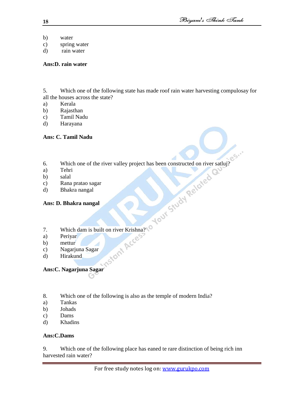- b) water
- c) spring water
- d) rain water

### **Ans:D. rain water**

5. Which one of the following state has made roof rain water harvesting compulosay for all the houses across the state?

- a) Kerala
- b) Rajasthan
- c) Tamil Nadu
- d) Harayana

### **Ans: C. Tamil Nadu**

- 6. Which one of the river valley project has been constructed on river satluj?
- a) Tehri
- b) salal
- c) Rana pratao sagar
- d) Bhakra nangal

### **Ans: D. Bhakra nangal**

7. Which dam is built on river Krishna?<br>
a) Periyar<br>
b) mettur<br>
c) Nagarjuna Sagar<br>
d) Hirakund<br>
Ans.

54

- a) Periyar
- b) mettur
- c) Nagarjuna Sagar
- d) Hirakund

### **Ans:C. Nagarjuna Sagar**

- 8. Which one of the following is also as the temple of modern India?
- a) Tankas
- b) Johads
- c) Dams
- d) Khadins

### **Ans:C.Dams**

9. Which one of the following place has eaned te rare distinction of being rich inn harvested rain water?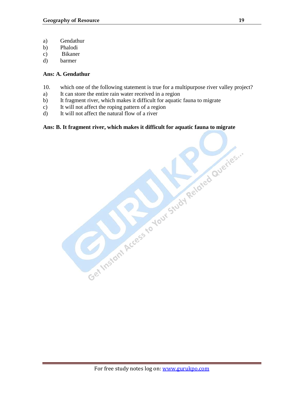- a) Gendathur
- b) Phalodi
- c) Bikaner
- d) barmer

### **Ans: A. Gendathur**

- 10. which one of the following statement is true for a multipurpose river valley project?
- a) It can store the entire rain water received in a region
- b) It fragment river, which makes it difficult for aquatic fauna to migrate
- c) It will not affect the roping pattern of a region
- d) It will not affect the natural flow of a river

# Ans: B. It fragment river, which makes it difficult for aquatic fauna to migrate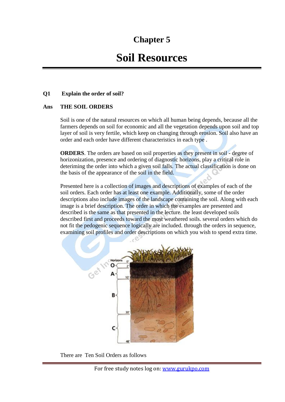### **Chapter 5**

### **Soil Resources**

### **Q1 Explain the order of soil?**

### **Ans THE SOIL ORDERS**

Soil is one of the natural resources on which all human being depends, because all the farmers depends on soil for economic and all the vegetation depends upon soil and top layer of soil is very fertile, which keep on changing through erosion. Soil also have an order and each order have different characteristics in each type .

**ORDERS**. The orders are based on soil properties as they present in soil - degree of horizonization, presence and ordering of diagnostic horizons, play a critical role in deteriming the order into which a given soil falls. The actual classification is done on the basis of the appearance of the soil in the field.

Presented here is a collection of images and descriptions of examples of each of the soil orders. Each order has at least one example. Additionally, some of the order descriptions also include images of the landscape containing the soil. Along with each image is a brief description. The order in which the examples are presented and described is the same as that presented in the lecture. the least developed soils described first and proceeds toward the most weathered soils. several orders which do not fit the pedogenic sequence logically are included. through the orders in sequence, examining soil profiles and order descriptions on which you wish to spend extra time.



There are Ten Soil Orders as follows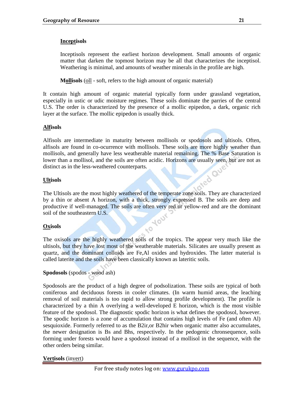### **Inceptisols**

Inceptisols represent the earliest horizon development. Small amounts of organic matter that darken the topmost horizon may be all that characterizes the inceptisol. Weathering is minimal, and amounts of weather minerals in the profile are high.

**Mollisols** (oll - soft, refers to the high amount of organic material)

It contain high amount of organic material typically form under grassland vegetation, especially in ustic or udic moisture regimes. These soils dominate the parries of the central U.S. The order is characterized by the presence of a mollic epipedon, a dark, organic rich layer at the surface. The mollic epipedon is usually thick.

### **Alfisols**

Alfisols are intermediate in maturity between mollisols or spodosols and ultisols. Often, alfisols are found in co-ocurrence with mollisols. These soils are more highly weather than mollisols, and generally have less weatherable material remaining. The % Base Saturation is lower than a mollisol, and the soils are often acidic. Horizons are usually seen, but are not as distinct as in the less-weathered counterparts.<br>Ultisols distinct as in the less-weathered counterparts.

### **Ultisols**

The Ultisols are the most highly weathered of the temperate zone soils. They are characterized by a thin or absent A horizon, with a thick, strongly expressed B. The soils are deep and productive if well-managed. The soils are often very red or yellow-red and are the dominant soil of the southeastern U.S. **10UY** 

### **Oxisols**

The oxisols are the highly weathered soils of the tropics. The appear very much like the ultisols, but they have lost most of the weatherable materials. Silicates are usually present as quartz, and the dominant colloids are Fe,Al oxides and hydroxides. The latter material is called laterite and the soils have been classically known as lateritic soils.

 $\mathbb{R}^{\bullet}$ 

### **Spodosols** (spodos - wood ash)

Spodosols are the product of a high degree of podsolization. These soils are typical of both coniferous and deciduous forests in cooler climates. (In warm humid areas, the leaching removal of soil materials is too rapid to allow strong profile development). The profile is characterized by a thin A overlying a well-developed E horizon, which is the most visible feature of the spodosol. The diagnostic spodic horizon is what defines the spodosol, however. The spodic horizon is a zone of accumulation that contains high levels of Fe (and often Al) sesquioxide. Formerly referred to as the B2ir,or B2hir when organic matter also accumulates, the newer designation is Bs and Bhs, respectively. In the pedogenic chronsequence, soils forming under forests would have a spodosol instead of a mollisol in the sequence, with the other orders being similar.

**Vertisols** (invert)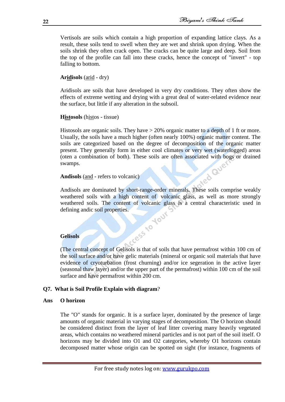Vertisols are soils which contain a high proportion of expanding lattice clays. As a result, these soils tend to swell when they are wet and shrink upon drying. When the soils shrink they often crack open. The cracks can be quite large and deep. Soil from the top of the profile can fall into these cracks, hence the concept of "invert" - top falling to bottom.

**Aridisols** (arid - dry)

Aridisols are soils that have developed in very dry conditions. They often show the effects of extreme wetting and drying with a great deal of water-related evidence near the surface, but little if any alteration in the subsoil.

### **Histosols** (histos - tissue)

Histosols are organic soils. They have  $>$  20% organic matter to a depth of 1 ft or more. Usually, the soils have a much higher (often nearly 100%) organic matter content. The soils are categorized based on the degree of decomposition of the organic matter present. They generally form in either cool climates or very wet (waterlogged) areas (oten a combination of both). These soils are often associated with bogs or drained swamps.<br>Andisols (and - refers to volcanic) swamps.

### **Andisols** (and - refers to volcanic)

Andisols are dominated by short-range-order minerals. These soils comprise weakly weathered soils with a high content of volcanic glass, as well as more strongly weathered soils. The content of volcanic glass is a central characteristic used in defining andic soil properties.<br> **Gelisols** defining andic soil properties.

### **Gelisols**

(The central concept of Gelisols is that of soils that have permafrost within 100 cm of the soil surface and/or have gelic materials (mineral or organic soil materials that have evidence of cryoturbation (frost churning) and/or ice segeration in the active layer (seasonal thaw layer) and/or the upper part of the permafrost) within 100 cm of the soil surface and have permafrost within 200 cm.

### **Q7. What is Soil Profile Explain with diagram**?

### **Ans O horizon**

The "O" stands for organic. It is a surface layer, dominated by the presence of large amounts of organic material in varying stages of decomposition. The O horizon should be considered distinct from the layer of [leaf litter](http://en.wikipedia.org/wiki/Leaf_litter) covering many heavily vegetated areas, which contains no weathered mineral particles and is not part of the soil itself. O horizons may be divided into O1 and O2 categories, whereby O1 horizons contain decomposed matter whose origin can be spotted on sight (for instance, fragments of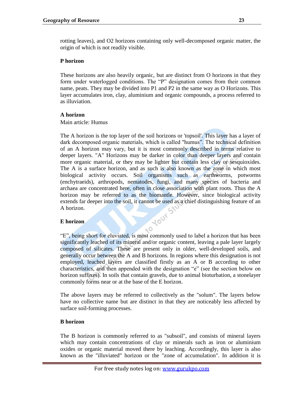rotting leaves), and O2 horizons containing only well-decomposed organic matter, the origin of which is not readily visible.

### **P horizon**

These horizons are also heavily organic, but are distinct from O horizons in that they form under waterlogged conditions. The "P" designation comes from their common name, [peats.](http://en.wikipedia.org/wiki/Peat) They may be divided into P1 and P2 in the same way as O Horizons. This layer accumulates iron, clay, aluminium and organic compounds, a process referred to as illuviation.

### **A horizon**

### Main article: [Humus](http://en.wikipedia.org/wiki/Humus)

The A horizon is the top layer of the soil horizons or 'topsoil'. This layer has a layer of dark decomposed organic materials, which is called "humus". The technical definition of an A horizon may vary, but it is most commonly described in terms relative to deeper layers. "A" Horizons may be darker in color than deeper layers and contain more [organic material,](http://en.wikipedia.org/wiki/Organic_material) or they may be lighter but contain less [clay](http://en.wikipedia.org/wiki/Clay) or [sesquioxides.](http://en.wikipedia.org/wiki/Sesquioxide) The A is a surface horizon, and as such is also known as the zone in which most [biological activity](http://en.wikipedia.org/wiki/Biological_activity) occurs. Soil organisms such as [earthworms,](http://en.wikipedia.org/wiki/Earthworm) [potworms](http://en.wikipedia.org/wiki/Potworm) (enchytraeids), [arthropods,](http://en.wikipedia.org/wiki/Arthropod) [nematodes,](http://en.wikipedia.org/wiki/Nematodes) [fungi,](http://en.wikipedia.org/wiki/Fungi) and many species of [bacteria](http://en.wikipedia.org/wiki/Bacteria) and [archaea](http://en.wikipedia.org/wiki/Archaea) are concentrated here, often in close association with [plant roots.](http://en.wikipedia.org/wiki/Plant_roots) Thus the A horizon may be referred to as the [biomantle.](http://en.wikipedia.org/wiki/Soil_Biomantle) However, since biological activity extends far deeper into the soil, it cannot be used as a chief distinguishing feature of an A horizon.<br> **E** horizon A horizon.

### **E horizon**

"E", being short for eluviated, is most commonly used to label a horizon that has been significantly leached of its mineral and/or organic content, leaving a pale layer largely composed of [silicates.](http://en.wikipedia.org/wiki/Silicate) These are present only in older, well-developed soils, and generally occur between the A and B horizons. In regions where this designation is not employed, leached layers are classified firstly as an A or B according to other characteristics, and then appended with the designation "e" (see the section below on horizon suffixes). In soils that contain [gravels,](http://en.wikipedia.org/wiki/Gravel) due to animal [bioturbation,](http://en.wikipedia.org/wiki/Bioturbation) a [stonelayer](http://en.wikipedia.org/wiki/Stonelayer) commonly forms near or at the base of the E horizon.

 $E<sub>o</sub>$ 

The above layers may be referred to collectively as the "solum". The layers below have no collective name but are distinct in that they are noticeably less affected by surface soil-forming processes.

### **B horizon**

The B horizon is commonly referred to as "subsoil", and consists of mineral layers which may contain concentrations of clay or minerals such as iron or aluminium oxides or organic material moved there by leaching. Accordingly, this layer is also known as the ["illuviated"](http://en.wikipedia.org/w/index.php?title=Illuviated&action=edit&redlink=1) horizon or the "zone of accumulation". In addition it is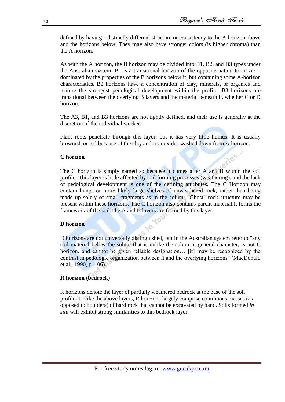iles.

defined by having a distinctly different structure or consistency to the A horizon above and the horizons below. They may also have stronger colors (is higher [chroma\)](http://en.wikipedia.org/wiki/Colorfulness) than the A horizon.

As with the A horizon, the B horizon may be divided into B1, B2, and B3 types under the Australian system. B1 is a transitional horizon of the opposite nature to an  $A3$ dominated by the properties of the B horizons below it, but containing some A-horizon characteristics. B2 horizons have a concentration of clay, minerals, or organics and feature the strongest [pedological development](http://en.wikipedia.org/w/index.php?title=Pedological_development&action=edit&redlink=1) within the profile. B3 horizons are transitional between the overlying B layers and the material beneath it, whether C or D horizon.

The A3, B1, and B3 horizons are not tightly defined, and their use is generally at the discretion of the individual worker.

Plant roots penetrate through this layer, but it has very little humus. It is usually brownish or red because of the clay and iron oxides washed down from A horizon.

### **C horizon**

The C horizon is simply named so because it comes after A and B within the soil profile. This layer is little affected by soil forming processes (weathering), and the lack of pedological development is one of the defining attributes. The C Horizon may contain lumps or more likely large shelves of unweathered rock, rather than being made up solely of small fragments as in the solum. "Ghost" rock structure may be present within these horizons. The C horizon also contains [parent material.](http://en.wikipedia.org/wiki/Parent_material)It forms the framework of the soil.The A and B layers are formed by this layer.

 $10$ 

 $\sqrt{2}$ 

### **D horizon**

D horizons are not universally distinguished, but in the Australian system refer to "any soil material below the solum that is unlike the solum in general character, is not C horizon, and cannot be given reliable designation... [it] may be recognized by the contrast in pedologic organization between it and the overlying horizons" (MacDonald et al., 1990, p. 106).

### **R horizon (bedrock)**

R horizons denote the layer of partially weathered bedrock at the base of the soil profile. Unlike the above layers, R horizons largely comprise continuous masses (as opposed to boulders) of hard rock that cannot be excavated by hand. Soils formed *in situ* will exhibit strong similarities to this bedrock layer.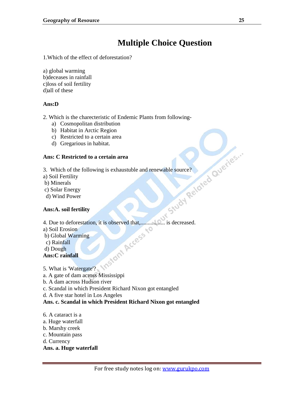### **Multiple Choice Question**

1.Which of the effect of deforestation?

a) global warming b)deceases in rainfall c)loss of soil fertility d)all of these

### **Ans:D**

- 2. Which is the charecteristic of Endemic Plants from following
	- a) Cosmopolitan distribution
	- b) Habitat in Arctic Region
	- c) Restricted to a certain area
	- d) Gregarious in habitat.

### **Ans: C Restricted to a certain area**

- 3. Which of the following is exhaustuble and renewable source?
- a) Soil Fertility
- b) Minerals
- c) Solar Energy
- d) Wind Power

### **Ans:A. soil fertility**

4. Due to deforestation, it is observed that,................. is decreased.

- a) Soil Erosion
- b) Global Warming
- c) Rainfall
- d) Dough

### **Ans:C rainfall**

- 5. What is 'Watergate'?
- a. A gate of dam across Mississippi
- b. A dam across Hudson river
- c. Scandal in which President Richard Nixon got entangled
- d. A five star hotel in Los Angeles

### **Ans. c. Scandal in which President Richard Nixon got entangled**

- 6. A cataract is a
- a. Huge waterfall
- b. Marshy creek
- c. Mountain pass
- d. Currency

### **Ans. a. Huge waterfall**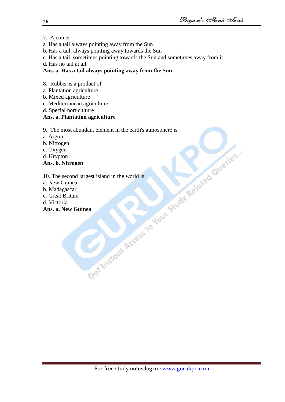- 7. A comet
- a. Has a tail always pointing away from the Sun
- b. Has a tail, always pointing away towards the Sun
- c. Has a tail, sometimes pointing towards the Sun and sometimes away from it
- d. Has no tail at all

### **Ans. a. Has a tail always pointing away from the Sun**

- 8. Rubber is a product of
- a. Plantation agriculture
- b. Mixed agriculture
- c. Mediterranean agriculture
- d. Special horticulture

### **Ans. a. Plantation agriculture**

9. The most abundant element in the earth's atmosphere is<br>
a. Argon<br>
a. Nitrogen<br>
c. Oxygen<br>
d. Krypton<br> **Ans. b. Nitrogen**<br>
10. The second largest island in the world is<br>
a. New Guinea<br>
b. Madagascar<br>
c. Great Britain<br>

- a. Argon
- b. Nitrogen
- c. Oxygen
- d. Krypton

### **Ans. b. Nitrogen**

10. The second largest island in the world is

- a. New Guinea
- b. Madagascar
- c. Great Britain
- d. Victoria

### **Ans. a. New Guinea**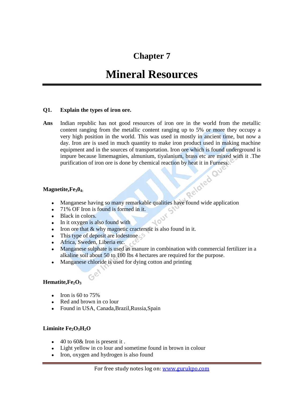### **Chapter 7**

### **Mineral Resources**

### **Q1. Explain the types of iron ore.**

**Ans** Indian republic has not good resources of iron ore in the world from the metallic content ranging from the metallic content ranging up to 5% or more they occupy a very high position in the world. This was used in mostly in ancient time, but now a day. Iron are is used in much quantity to make iron product used in making machine equipment and in the sources of transportation. Iron ore which is found underground is impure because limemagnies, almunium, tiyalanium, brass etc are mixed with it .The purification of iron ore is done by chemical reaction by heat it in Furness.<br>tite,  $Fe<sub>3</sub>0<sub>4</sub>$ .

### **Magnetite,Fe304:**

- Manganese having so many remarkable qualities have found wide application
- 71% OF Iron is found is formed in it.
- Black in colors.
- In it oxygen is also found with
- Iron ore that  $&$  why magnetic cracterstic is also found in it.
- This type of deposit are lodestone
- Africa, Sweden, Liberia etc.

 $G^{\mathcal{C}}$ 

- Manganese sulphate is used as manure in combination with commercial fertilizer in a alkaline soil about 50 to 100 lbs 4 hectares are required for the purpose.
- Manganese chloride is used for dying cotton and printing

### **Hematite,Fe2O<sup>3</sup>**

- $\bullet$  Iron is 60 to 75%
- Red and brown in co lour
- Found in USA, Canada,Brazil,Russia,Spain

### **Liminite Fe2O3H2O**

- 40 to 60& Iron is present it .
- Light yellow in co lour and sometime found in brown in colour
- Iron, oxygen and hydrogen is also found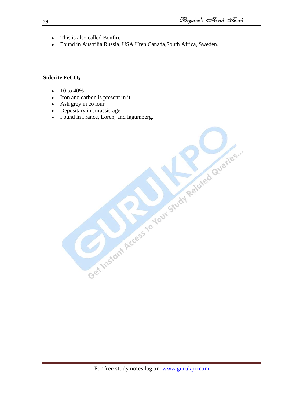- This is also called Bonfire  $\bullet$
- Found in Austrilia,Russia, USA,Uren,Canada,South Africa, Sweden.  $\bullet$

### **Siderite FeCO<sup>3</sup>**

- 10 to 40%  $\bullet$
- Iron and carbon is present in it  $\bullet$
- Ash grey in co lour
- Depositary in Jurassic age.  $\bullet$
- Found in France, Loren, and Iagumberg.<br>
Sound in France, Loren, and Iagumberg.<br>
Sound the cessor of David Study Related Queries.  $\bullet$

For free study notes log on: www.gurukpo.com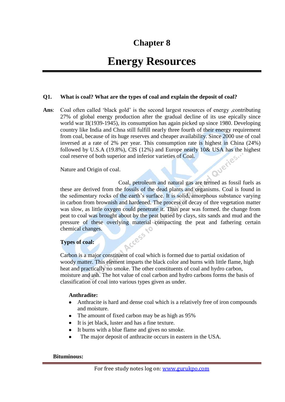### **Chapter 8**

### **Energy Resources**

### **Q1. What is coal? What are the types of coal and explain the deposit of coal?**

Ans: Coal often called 'black gold' is the second largest resources of energy ,contributing 27% of global energy production after the gradual decline of its use epically since world war II(1939-1945), its consumption has again picked up since 1980. Developing country like India and Chna still fulfill nearly three fourth of their energy requirement from coal, because of its huge reserves and cheaper availability. Since 2000 use of coal inversed at a rate of 2% per year. This consumption rate is highest in China (24%) followed by U.S.A (19.8%), CIS (12%) and Europe nearly 10& USA has the highest coal reserve of both superior and inferior varieties of Coal.<br>Nature and Origin of coal. coal reserve of both superior and inferior varieties of Coal.

Nature and Origin of coal.

Coal, petroleum and natural gas are termed as fossil fuels as these are derived from the fossils of the dead plants and organisms. Coal is found in the sedimentary rocks of the earth"s surface. It is solid, amorphous substance varying in carbon from brownish and hardened. The process of decay of thre vegetation matter was slow, as little oxygen could penetrate it. Thus pear was formed. the change from peat to coal was brought about by the peat buried by clays, sits sands and mud and the pressure of these overlying material compacting the peat and fathering certain chemical changes. Access

### **Types of coal:**

Carbon is a major constituent of coal which is formed due to partial oxidation of woody matter. This element imparts the black color and burns with little flame, high heat and practically no smoke. The other constituents of coal and hydro carbon, moisture and ash. The hot value of coal carbon and hydro carbons forms the basis of classification of coal into various types given as under.

### **Anthradite:**

- Anthracite is hard and dense coal which is a relatively free of iron compounds  $\bullet$ and moisture.
- The amount of fixed carbon may be as high as 95%
- It is jet black, luster and has a fine texture.
- It burns with a blue flame and gives no smoke.
- The major deposit of anthracite occurs in eastern in the USA.

### **Bituminous:**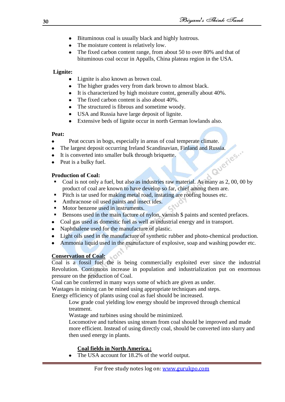- Bituminous coal is usually black and highly lustrous.
- The moisture content is relatively low.
- The fixed carbon content range, from about 50 to over 80% and that of bituminous coal occur in Appalls, China plateau region in the USA.

### **Lignite:**

- Lignite is also known as brown coal.
- The higher grades very from dark brown to almost black.
- It is characterized by high moisture contnt, generally about 40%.
- The fixed carbon content is also about 40%.
- The structured is fibrous and sometime woody.
- USA and Russia have large deposit of lignite.
- Extensive beds of lignite occur in north German lowlands also.

### **Peat:**

- Peat occurs in bogs, especially in areas of coal temperate climate.
- The largest deposit occurring Ireland Scandinavian, Finland and Russia.<br>• It is converted into smaller bulk through briquette.<br>• Peat is a bulky fuel.<br>• Production of C
- It is converted into smaller bulk through briquette.
- Peat is a bulky fuel.

### **Production of Coal:**

- Coal is not only a fuel, but also as industries raw material. As many as 2, 00, 00 by product of coal are known to have develop so far, chief among them are.
- Pitch is tar used for making metal road, instating are roofing houses etc.
- Anthracnose oil used paints and insect ides.
- Motor benzene used in instruments.
- Bensons used in the main facture of nylon, varnish \$ paints and scented prefaces.
- Coal gas used as domestic fuel as well as industrial energy and in transport.  $\bullet$
- Naphthalene used for the manufacture of plastic.  $\bullet$
- Light oils used in the manufacture of synthetic rubber and photo-chemical production.
- Ammonia liquid used in the manufacture of explosive, soap and washing powder etc.

### **Conservation of Coal:**

Coal is a fossil fuel the is being commercially exploited ever since the industrial Revolution. Continuous increase in population and industrialization put on enormous pressure on the production of Coal.

Coal can be conferred in many ways some of which are given as under.

Wastages in mining can be mined using appropriate techniques and steps.

Energy efficiency of plants using coal as fuel should be increased.

Low grade coal yielding low energy should be improved through chemical treatment.

Wastage and turbines using should be minimized.

Locomotive and turbines using stream from coal should be improved and made more efficient. Instead of using directly coal, should be converted into slurry and then used energy in plants.

### **Coal fields in North America.:**

The USA account for 18.2% of the world output.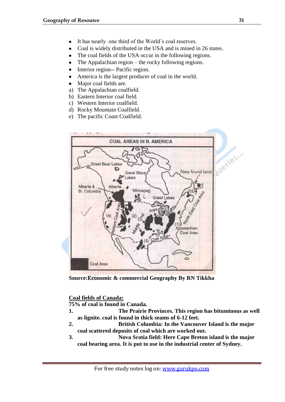- It has nearly one third of the World"s coal reserves.
- Coal is widely distributed in the USA and is mined in 26 states.
- The coal fields of the USA occur in the following regions.
- The Appalachian region the rocky following regions.
- Interior region-- Pacific region.
- America is the largest producer of coal in the world.
- Major coal fields are.
- a) The Appalachian coalfield.
- b) Eastern Interior coal field.
- c) Western Interior coalfield.
- d) Rocky Mountain Coalfield.
- e) The pacific Coast Coalfield.



**Source:Economic & commercial Geography By RN Tikkha**

### **Coal fields of Canada:**

**75% of coal is found in Canada.**

- **1. The Prairie Provinces. This region has bituminous as well as lignite. coal is found in thick seams of 6-12 feet.**
- **2. British Columbia: In the Vancouver Island is the major coal scattered deposits of coal which are worked out.**
- **3. Nova Scotia field: Here Cape Breton island is the major coal bearing area. It is put to use in the industrial center of Sydney.**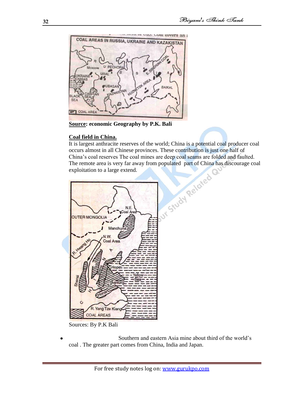

**Source: economic Geography by P.K. Bali**

### **Coal field in China.**

It is largest anthracite reserves of the world; China is a potential coal producer coal occurs almost in all Chinese provinces. These contribution is just one half of The remote area is very far away from populated part of China has discourage coal exploitation to a large extend.



Sources: By P.K Bali

Southern and eastern Asia mine about third of the world"s coal . The greater part comes from China, India and Japan.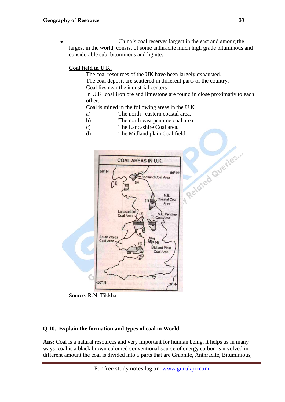China"s coal reserves largest in the east and among the largest in the world, consist of some anthracite much high grade bituminous and considerable sub, bituminous and lignite.

### **Coal field in U.K.**

The coal resources of the UK have been largely exhausted.

The coal deposit are scattered in different parts of the country. Coal lies near the industrial centers

In U.K , coal iron ore and limestone are found in close proximatly to each other.

Coal is mined in the following areas in the U.K

- a) The north –eastern coastal area.
- b) The north-east pennine coal area.
- c) The Lancashire Coal area.
- d) The Midland plain Coal field.



Source: R.N. Tikkha

### **Q 10. Explain the formation and types of coal in World.**

Ans: Coal is a natural resources and very important for huiman being, it helps us in many ways ,coal is a black brown coloured conventional source of energy carbon is involved in different amount the coal is divided into 5 parts that are Graphite, Anthracite, Bituminious,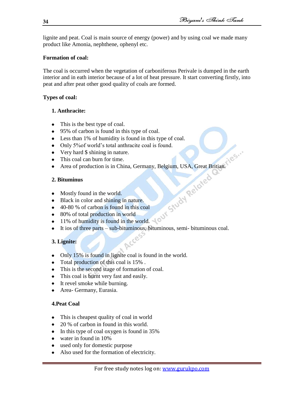lignite and peat. Coal is main source of energy (power) and by using coal we made many product like Amonia, nephthene, ophenyl etc.

### **Formation of coal:**

The coal is occurred when the vegetation of carboniferous Perivale is dumped in the earth interior and in eath interior because of a lot of heat pressure. It start converting firstly, into peat and after peat other good quality of coals are formed.

### **Types of coal:**

### **1. Anthracite:**

- This is the best type of coal.
- 95% of carbon is found in this type of coal.
- Less than 1% of humidity is found in this type of coal.
- Only 5% of world's total anthracite coal is found.
- Very hard \$ shining in nature.
- This coal can burn for time.
- Area of production is in China, Germany, Belgium, USA, Great Britian.

### **2. Bituminus**

- Mostly found in the world.
- Black in color and shining in nature.  $\bullet$
- 40-80 % of carbon is found in this coal
- 80% of total production in world
- 11% of humidity is found in the world.
- It ios of three parts sub-bituminous, bituminous, semi- bituminous coal.

### **3. Lignite:**

- Only 15% is found in lignite coal is found in the world.
- Total production of this coal is 15%.
- This is the second stage of formation of coal.
- This coal is burnt very fast and easily.
- It revel smoke while burning.
- Area- Germany, Eurasia.

### **4.Peat Coal**

- This is cheapest quality of coal in world
- 20 % of carbon in found in this world.
- In this type of coal oxygen is found in 35%
- water in found in 10%
- used only for domestic purpose
- Also used for the formation of electricity.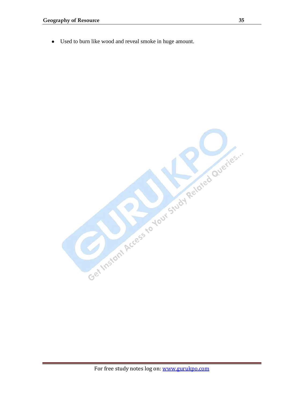Used to burn like wood and reveal smoke in huge amount. $\bullet$ 

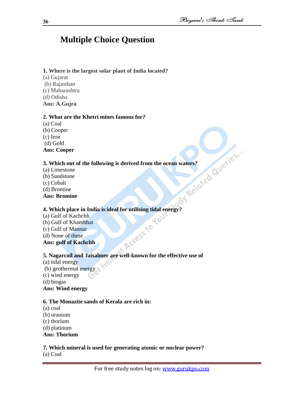### **Multiple Choice Question**

### **1. Where is the largest solar plant of India located?**

- (a) Gujarat
- (b) Rajasthan
- (c) Maharashtra
- (d) Odisha
- **Ans: A.Gujra**

### **2. What are the Khetri mines famous for?**

(a) Coal (b) Cooper (c) Iron (d) Gold

### **Ans: Cooper**

# **3.** Which out of the following is derived from the ocean waters?<br>
(a) Limestone<br>
(b) Sandstone<br>
(c) Cobalt<br>
(d) Bromine<br> **Ans: Bromine**<br> **4.**  $W^{1.1}$

- (a) Limestone
- (b) Sandstone
- (c) Cobalt
- (d) Bromine
- **Ans: Bromine**

# **4. Which place in India is ideal for utilising tidal energy?**<br>
(a) Gulf of Kachchh<br>
(b) Gulf of Khambhat<br>
(c) Gulf of Mannar<br>
(d) None of these<br> **Ans: gulf of Kachch**

- (a) Gulf of Kachchh (b) Gulf of Khambhat (c) Gulf of Mannar
- (d) None of these
- **Ans: gulf of Kachchh**

### **5. Nagarcoil and Jaisalmer are well-known for the effective use of**

- (a) tidal energy
- (b) geothermal energy
- (c) wind energy
- (d) biogas

### **Ans: Wind energy**

### **6. The Monazite sands of Kerala are rich in:**

- (a) coal
- (b) uranium
- (c) thorium
- (d) platinum

### **Ans: Thorium**

### **7. Which mineral is used for generating atomic or nuclear power?**

(a) Coal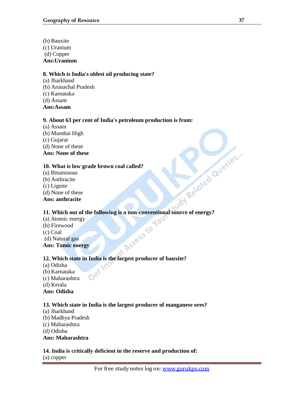(b) Bauxite (c) Uranium (d) Copper **Ans:Uranium**

### **8. Which is India's oldest oil producing state?**

- (a) Jharkhand
- (b) Arunachal Pradesh
- (c) Karnataka
- (d) Assam
- **Ans:Assam**

### **9. About 63 per cent of India's petroleum production is from:**

- (a) Assam
- (b) Mumbai High
- (c) Gujarat
- (d) None of these

**Ans: None of these**

### **10. What is low grade brown coal called?**

- (a) Bituminous
- (b) Anthracite
- (c) Lignite
- (d) None of these

### **Ans: anthracite**

# **11. Which out of the following is a non-conventional source of energy?**<br> **11. Which out of the following is a non-conventional source of energy?**

Access to

10

- (a) Atomic energy
- (b) Firewood
- (c) Coal
- (d) Natural gas

**Ans: Tomic energy**

### **12. Which state in India is the largest producer of bauxite?**

(a) Odisha (b) Karnataka (c) Maharashtra (d) Kerala **Ans: Odisha**

### **13. Which state in India is the largest producer of manganese ores?**

- (a) Jharkhand (b) Madhya Pradesh
- (c) Maharashtra
- (d) Odisha

**Ans: Maharashtra**

### **14. India is critically deficient in the reserve and production of:**

(a) copper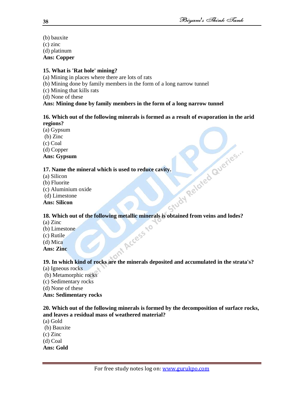(b) bauxite (c) zinc (d) platinum **Ans: Copper**

### **15. What is 'Rat hole' mining?**

- (a) Mining in places where there are lots of rats
- (b) Mining done by family members in the form of a long narrow tunnel
- (c) Mining that kills rats
- (d) None of these

### **Ans: Mining done by family members in the form of a long narrow tunnel**

### **16. Which out of the following minerals is formed as a result of evaporation in the arid regions?**

- (a) Gypsum
- (b) Zinc
- (c) Coal

(d) Copper

### **Ans: Gypsum**

- (a) Silicon
- (b) Fluorite
- (c) Aluminium oxide
- (d) Limestone

### **Ans: Silicon**

### **17. Name the mineral which is used to reduce cavity.**<br>
(a) Silicon<br>
(b) Fluorite<br>
(c) Aluminium oxide<br> **Ans: Silicon<br>
18. Which 18. Which out of the following metallic minerals is obtained from veins and lodes?**

- (a) Zinc
- (b) Limestone
- (c) Rutile
- (d) Mica
- **Ans: Zinc**

### **19. In which kind of rocks are the minerals deposited and accumulated in the strata's?**

- (a) Igneous rocks
- (b) Metamorphic rocks
- (c) Sedimentary rocks
- (d) None of these

### **Ans: Sedimentary rocks**

### **20. Which out of the following minerals is formed by the decomposition of surface rocks, and leaves a residual mass of weathered material?**

- (a) Gold
- (b) Bauxite
- (c) Zinc
- (d) Coal
- **Ans: Gold**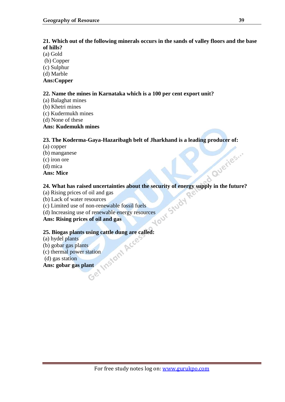### **21. Which out of the following minerals occurs in the sands of valley floors and the base of hills?**

- (a) Gold
- (b) Copper
- (c) Sulphur
- (d) Marble
- **Ans:Copper**

### **22. Name the mines in Karnataka which is a 100 per cent export unit?**

- (a) Balaghat mines
- (b) Khetri mines
- (c) Kudermukh mines
- (d) None of these
- **Ans: Kudemukh mines**

### **23. The Koderma-Gaya-Hazaribagh belt of Jharkhand is a leading producer of:**

- (a) copper
- (b) manganese
- (c) iron ore
- (d) mica
- **Ans: Mice**

## **24. What has raised uncertainties about the security of energy supply in the future?**

- (a) Rising prices of oil and gas
- (b) Lack of water resources
- (c) Limited use of non-renewable fossil fuels
- (d) Increasing use of renewable fossil fuels<br>
Ans: Rising prices of oil and gas

**Ans: Rising prices of oil and gas**

# **25. Biogas plants using cattle dung are called:**<br>
(a) hydel plants<br>
(b) gobar gas plants<br>
(c) thermal power station<br>
(d) gas station<br> **Ans: gobar gas plant**

- (a) hydel plants
- (b) gobar gas plants
- (c) thermal power station
- (d) gas station
- **Ans: gobar gas plant**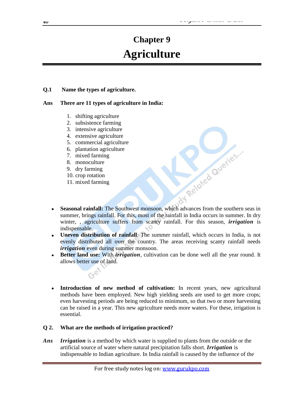### **Chapter 9 Agriculture**

### **Q.1 Name the types of agriculture.**

### **Ans There are 11 types of agriculture in India:**

- 1. shifting agriculture
- 2. subsistence farming
- 3. intensive agriculture
- 4. extensive agriculture
- 5. commercial agriculture
- 6. plantation agriculture
- 7. mixed farming
- 8. monoculture
- 9. dry farming
- 10. crop rotation
- 11. mixed farming

Ge

- **Seasonal rainfall:** The Southwest monsoon, which advances from the southern seas in summer, brings rainfall. For this, most of the rainfall in India occurs in summer. In dry winter, , agriculture suffers from scanty rainfall. For this season, *irrigation* is indispensable.
- **Uneven distribution of rainfall**: The summer rainfall, which occurs in India, is not evenly distributed all over the country. The areas receiving scanty rainfall needs *irrigation* even during summer monsoon.
- **Better land use:** With *irrigation*, cultivation can be done well all the year round. It allows better use of land.
- **Introduction of new method of cultivation:** In recent years, new agricultural  $\bullet$ methods have been employed. New high yielding seeds are used to get more crops; even harvesting periods are being reduced to minimum, so that two or more harvesting can be raised in a year. This new agriculture needs more waters. For these, irrigation is essential.

### **Q 2. What are the methods of irrigation practiced?**

*Ans Irrigation* is a method by which water is supplied to plants from the outside or the artificial source of water where natural precipitation falls short. *Irrigation* is indispensable to Indian agriculture. In India rainfall is caused by the influence of the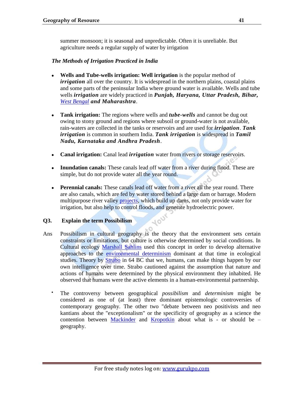summer monsoon; it is seasonal and unpredictable. Often it is unreliable. But agriculture needs a regular supply of water by irrigation

### *The Methods of Irrigation Practiced in India*

- **Wells and Tube-wells irrigation: Well irrigation** is the popular method of *irrigation* all over the country. It is widespread in the northern plains, coastal plains and some parts of the peninsular India where ground water is available. Wells and tube wells *irrigation* are widely practiced in *Punjab, Haryana, Uttar Pradesh, Bihar, [West Bengal](http://www.kish.in/topic/west-bengal/) and Maharashtra*.
- **Tank irrigation:** The regions where wells and *tube-wells* and cannot be dug out owing to stony ground and regions where subsoil or ground-water is not available, rain-waters are collected in the tanks or reservoirs and are used for *irrigation*. *Tank irrigation* is common in southern India. *Tank irrigation* is widespread in *Tamil Nadu, Karnataka and Andhra Pradesh*.
- **Canal irrigation:** Canal lead *irrigation* water from rivers or storage reservoirs.
- **Inundation canals:** These canals lead off water from a river during flood. These are simple, but do not provide water all the year round.
- **Perennial canals:** These canals lead off water from a river all the year round. There are also canals, which are fed by water stored behind a large dam or barrage. Modern multipurpose river valley [projects,](http://www.kish.in/category/technology/projects/) which build up dams, not only provide water for irrigation, but also help to control floods, and generate hydroelectric power.

400

### **Q3. Explain the term Possibilism**

- Ans Possibilism in cultural geography is the theory that the environment sets certain constraints or limitations, but culture is otherwise determined by social conditions. In Cultural ecology [Marshall Sahlins](http://en.wikipedia.org/wiki/Marshall_Sahlins) used this concept in order to develop alternative approaches to the [environmental determinism](http://en.wikipedia.org/wiki/Environmental_determinism) dominant at that time in ecological studies. Theory by [Strabo](http://en.wikipedia.org/wiki/Strabo) in 64 BC that we, humans, can make things happen by our own intelligence over time. Strabo cautioned against the assumption that nature and actions of humans were determined by the physical environment they inhabited. He observed that humans were the active elements in a human-environmental partnership.
	- The controversy between geographical *possibilism* and *determinism* might be considered as one of (at least) three dominant epistemologic controversies of contemporary geography. The other two "debate between neo positivists and neo kantians about the "exceptionalism" or the specificity of geography as a science the contention between [Mackinder](http://en.wikipedia.org/wiki/Halford_Mackinder) and [Kropotkin](http://en.wikipedia.org/wiki/Peter_Kropotkin) about what is - or should be – geography.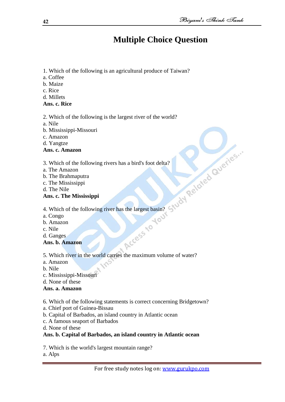### **Multiple Choice Question**

- 1. Which of the following is an agricultural produce of Taiwan?
- a. Coffee
- b. Maize
- c. Rice
- d. Millets
- **Ans. c. Rice**
- 2. Which of the following is the largest river of the world?
- a. Nile
- b. Mississippi-Missouri
- c. Amazon
- d. Yangtze
- **Ans. c. Amazon**
- 3. Which of the following rivers has a bird's foot delta?
- a. The Amazon
- b. The Brahmaputra
- c. The Mississippi
- d. The Nile

### **Ans. c. The Mississippi**

- 4. Which of the following river has the largest basin?
- a. Congo
- b. Amazon
- c. Nile
- d. Ganges
- **Ans. b. Amazon**

5. Which river in the world carries the maximum volume of water?

- a. Amazon
- b. Nile
- c. Mississippi-Missouri
- d. None of these

### **Ans. a. Amazon**

- 6. Which of the following statements is correct concerning Bridgetown?
- a. Chief port of Guinea-Bissau
- b. Capital of Barbados, an island country in Atlantic ocean
- c. A famous seaport of Barbados
- d. None of these

### **Ans. b. Capital of Barbados, an island country in Atlantic ocean**

- 7. Which is the world's largest mountain range?
- a. Alps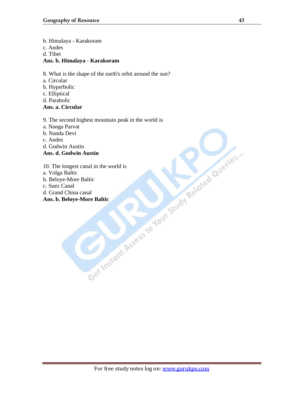b. Himalaya - Karakoram

- c. Andes
- d. Tibet

### **Ans. b. Himalaya - Karakoram**

- 8. What is the shape of the earth's orbit around the sun?
- a. Circular
- b. Hyperbolic
- c. Elliptical
- d. Parabolic

### **Ans. a. Circular**

9. The second highest mountain peak in the world is

- 
- b. Nanda Devi
- c. Andes
- d. Godwin Austin

### **Ans. d. Godwin Austin**

- a. Nanga Parvat<br>
b. Nanda Devi<br>
c. Andes<br>
d. Godwin Austin<br>
Ans. d. Godwin Austin<br>
10. The longest canal in the world is<br>
b. Beloye-More Baltic<br>
c. Suez Canal<br>
Ans. b. Beloye-More Baltic<br>
Ans. b. Beloye-More Baltic<br>
Ans. b 10. The longest canal in the world is
- a. Volga Baltic
- b. Beloye-More Baltic
- c. Suez Canal
- d. Grand China canal

### **Ans. b. Beloye-More Baltic**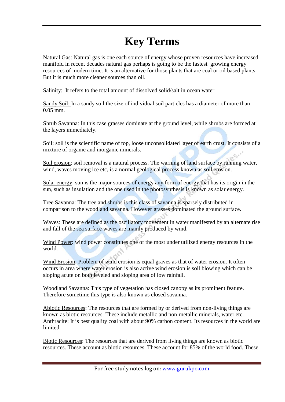### **Key Terms**

Natural Gas: Natural gas is one each source of energy whose proven resources have increased manifold in recent decades natural gas perhaps is going to be the fastest growing energy resources of modern time. It is an alternative for those plants that are coal or oil based plants But it is much more cleaner sources than oil.

Salinity: It refers to the total amount of dissolved solid/salt in ocean water.

Sandy Soil: In a sandy soil the size of individual soil particles has a diameter of more than 0.05 mm.

Shrub Savanna: In this case grasses dominate at the ground level, while shrubs are formed at the layers immediately.

Soil: soil is the scientific name of top, loose unconsolidated layer of earth crust. It consists of a mixture of organic and inorganic minerals.

Soil erosion: soil removal is a natural process. The warning of land surface by running water, wind, waves moving ice etc, is a normal geological process known as soil erosion.

Solar energy: sun is the major sources of energy any form of energy that has its origin in the sun, such as insulation and the one used in the photosynthesis is known as solar energy.

Tree Savanna: The tree and shrubs is this class of savanna is sparsely distributed in comparison to the woodland savanna. However grasses dominated the ground surface.

Waves: These are defined as the oscillatory movement in water manifested by an alternate rise and fall of the sea surface waves are mainly produced by wind.

Wind Power: wind power constitutes one of the most under utilized energy resources in the world.

Wind Erosion: Problem of wind erosion is equal graves as that of water erosion. It often occurs in area where water erosion is also active wind erosion is soil blowing which can be sloping acute on both leveled and sloping area of low rainfall.

Woodland Savanna: This type of vegetation has closed canopy as its prominent feature. Therefore sometime this type is also known as closed savanna.

Abiotic Resources: The resources that are formed by or derived from non-living things are known as biotic resources. These include metallic and non-metallic minerals, water etc. Anthracite: It is best quality coal with about 90% carbon content. Its resources in the world are limited.

Biotic Resources: The resources that are derived from living things are known as biotic resources. These account as biotic resources. These account for 85% of the world food. These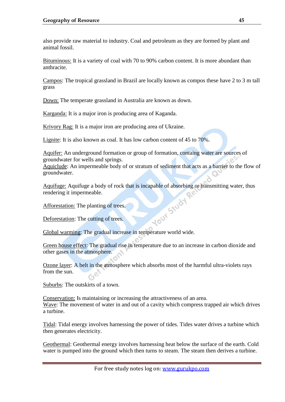also provide raw material to industry. Coal and petroleum as they are formed by plant and animal fossil.

Bituminous: It is a variety of coal with 70 to 90% carbon content. It is more abundant than anthracite.

Campos: The tropical grassland in Brazil are locally known as compos these have 2 to 3 m tall grass

Down: The temperate grassland in Australia are known as down.

Karganda: It is a major iron is producing area of Kaganda.

Krivory Rag: It is a major iron are producing area of Ukraine.

Lignite: It is also known as coal. It has low carbon content of 45 to 70%.

Aquifer: An underground formation or group of formation, containg water are sources of groundwater for wells and springs.

Aquiclude: An impermeable body of or stratum of sediment that acts as a barrier to the flow of groundwater.

Aquifuge: Aquifuge a body of rock that is incapable of absorbing or transmitting water, thus rendering it impermeable.<br>Afforestation: The planting of trees.<br>Deforestation: The cutting of trees. rendering it impermeable.

Afforestation: The planting of trees.

Deforestation: The cutting of trees.

Global warming: The gradual increase in temperature world wide.

Green house effect: The gradual rise in temperature due to an increase in carbon dioxide and other gases in the atmosphere.

Ozone layer: A belt in the atmosphere which absorbs most of the harmful ultra-violets rays from the sun.

Suburbs: The outskirts of a town.

Conservation: Is maintaining or increasing the attractiveness of an area. Wave: The movement of water in and out of a cavity which compress trapped air which drives a turbine.

Tidal: Tidal energy involves harnessing the power of tides. Tides water drives a turbine which then generates electricity.

Geothermal: Geothermal energy involves harnessing heat below the surface of the earth. Cold water is pumped into the ground which then turns to steam. The steam then derives a turbine.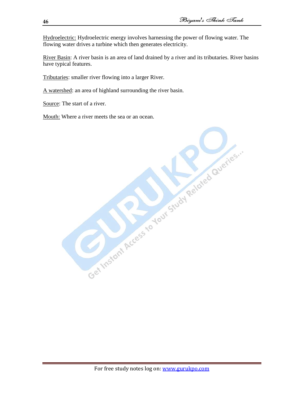Hydroelectric: Hydroelectric energy involves harnessing the power of flowing water. The flowing water drives a turbine which then generates electricity.

River Basin: A river basin is an area of land drained by a river and its tributaries. River basins have typical features.

Tributaries: smaller river flowing into a larger River.

A watershed: an area of highland surrounding the river basin.

Source: The start of a river.

Mouth: Where a river meets the sea or an ocean.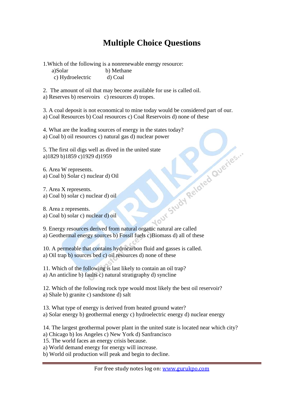### **Multiple Choice Questions**

1.Which of the following is a nonrenewable energy resource:

a)Solar b) Methane c) Hydroelectric d) Coal

2. The amount of oil that may become available for use is called oil.

a) Reserves b) reservoirs c) resources d) tropes.

3. A coal deposit is not economical to mine today would be considered part of our.

a) Coal Resources b) Coal resources c) Coal Reservoirs d) none of these

4. What are the leading sources of energy in the states today?

5. The first oil digs well as dived in the united state a)1829 b)1859 c)1929 d)1959

6. Area W represents. a) Coal b) Solar c) nuclear d) Oil

7. Area X represents. a) Coal b) solar c) nuclear d) oil

8. Area z represents. a) Coal b) solar c) nuclear d) oil

a) Coal b) oil resources c) natural gas d) nuclear power<br>
5. The first oil digs well as dived in the united state<br>
a) 1829 b) 1859 c) 1929 d) 1959<br>
6. Area W represents.<br>
a) Coal b) Solar c) nuclear d) oil<br>
8. Area Z repr 9. Energy resources derived from natural organic natural are called a) Geothermal energy sources b) Fossil fuels c)Biomass d) all of these

10. A permeable that contains hydrocarbon fluid and gasses is called. a) Oil trap b) sources bed c) oil resources d) none of these

11. Which of the following is last likely to contain an oil trap? a) An anticline b) faults c) natural stratigraphy d) syncline

12. Which of the following rock type would most likely the best oil reservoir? a) Shale b) granite c) sandstone d) salt

13. What type of energy is derived from heated ground water? a) Solar energy b) geothermal energy c) hydroelectric energy d) nuclear energy

14. The largest geothermal power plant in the united state is located near which city? a) Chicago b) los Angeles c) New York d) Sanfrancisco

15. The world faces an energy crisis because.

a) World demand energy for energy will increase.

b) World oil production will peak and begin to decline.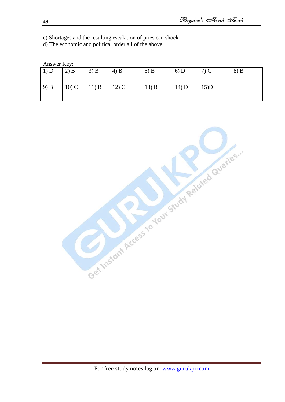c) Shortages and the resulting escalation of pries can shock

d) The economic and political order all of the above.

| Answer Key: |  |
|-------------|--|
|-------------|--|

| 1) D | $2)$ B  | $3)$ B   | $(4)$ B      | $5)$ B | 6) D  | $7)$ C  | $8)$ B |
|------|---------|----------|--------------|--------|-------|---------|--------|
| 9) B | $10)$ C | $(11)$ B | $\mid$ 12) C | 13) B  | 14) D | $15$ )D |        |

Get Instant Access to Your Study Related Gueries."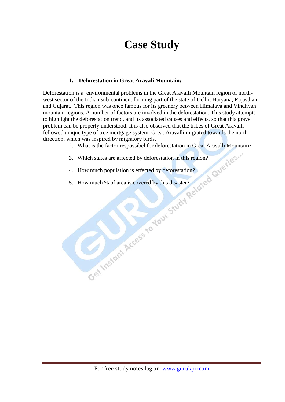### **Case Study**

### **1. Deforestation in Great Aravali Mountain:**

Deforestation is a environmental problems in the Great Aravalli Mountain region of northwest sector of the Indian sub-continent forming part of the state of Delhi, Haryana, Rajasthan and Gujarat. This region was once famous for its greenery between Himalaya and Vindhyan mountain regions. A number of factors are involved in the deforestation. This study attempts to highlight the deforestation trend, and its associated causes and effects, so that this grave problem can be properly understood. It is also observed that the tribes of Great Aravalli followed unique type of tree mortgage system. Great Aravalli migrated towards the north direction, which was inspired by migratory birds.

- 2. What is the factor respossibel for deforestation in Great Aravalli Mountain?
- 3. Which states are affected by deforestation in this region?
- 4. How much population is effected by deforestation?
- 5. How much % of area is covered by this disaster?